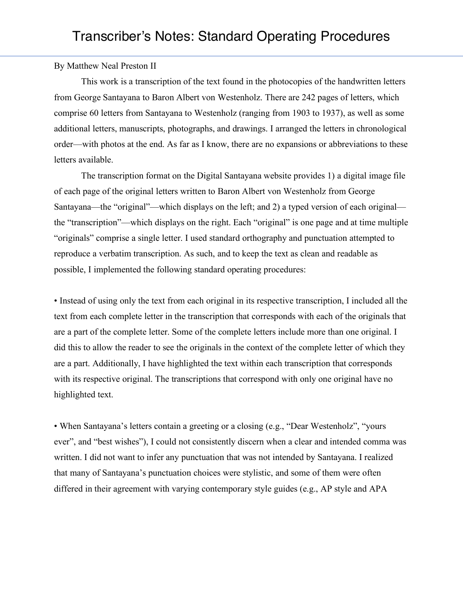By Matthew Neal Preston II

This work is a transcription of the text found in the photocopies of the handwritten letters from George Santayana to Baron Albert von Westenholz. There are 242 pages of letters, which comprise 60 letters from Santayana to Westenholz (ranging from 1903 to 1937), as well as some additional letters, manuscripts, photographs, and drawings. I arranged the letters in chronological order—with photos at the end. As far as I know, there are no expansions or abbreviations to these letters available.

The transcription format on the Digital Santayana website provides 1) a digital image file of each page of the original letters written to Baron Albert von Westenholz from George Santayana—the "original"—which displays on the left; and 2) a typed version of each original the "transcription"—which displays on the right. Each "original" is one page and at time multiple "originals" comprise a single letter. I used standard orthography and punctuation attempted to reproduce a verbatim transcription. As such, and to keep the text as clean and readable as possible, I implemented the following standard operating procedures:

• Instead of using only the text from each original in its respective transcription, I included all the text from each complete letter in the transcription that corresponds with each of the originals that are a part of the complete letter. Some of the complete letters include more than one original. I did this to allow the reader to see the originals in the context of the complete letter of which they are a part. Additionally, I have highlighted the text within each transcription that corresponds with its respective original. The transcriptions that correspond with only one original have no highlighted text.

• When Santayana's letters contain a greeting or a closing (e.g., "Dear Westenholz", "yours ever", and "best wishes"), I could not consistently discern when a clear and intended comma was written. I did not want to infer any punctuation that was not intended by Santayana. I realized that many of Santayana's punctuation choices were stylistic, and some of them were often differed in their agreement with varying contemporary style guides (e.g., AP style and APA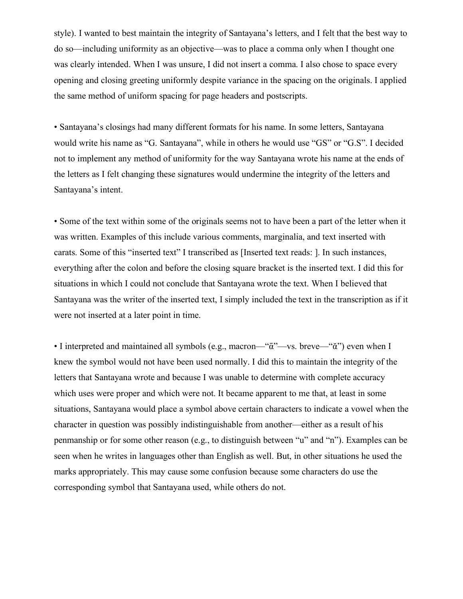style). I wanted to best maintain the integrity of Santayana's letters, and I felt that the best way to do so—including uniformity as an objective—was to place a comma only when I thought one was clearly intended. When I was unsure, I did not insert a comma. I also chose to space every opening and closing greeting uniformly despite variance in the spacing on the originals. I applied the same method of uniform spacing for page headers and postscripts.

• Santayana's closings had many different formats for his name. In some letters, Santayana would write his name as "G. Santayana", while in others he would use "GS" or "G.S". I decided not to implement any method of uniformity for the way Santayana wrote his name at the ends of the letters as I felt changing these signatures would undermine the integrity of the letters and Santayana's intent.

• Some of the text within some of the originals seems not to have been a part of the letter when it was written. Examples of this include various comments, marginalia, and text inserted with carats. Some of this "inserted text" I transcribed as [Inserted text reads: ]. In such instances, everything after the colon and before the closing square bracket is the inserted text. I did this for situations in which I could not conclude that Santayana wrote the text. When I believed that Santayana was the writer of the inserted text, I simply included the text in the transcription as if it were not inserted at a later point in time.

• I interpreted and maintained all symbols (e.g., macron—" $\tilde{\alpha}$ "—vs. breve—" $\tilde{\alpha}$ ") even when I knew the symbol would not have been used normally. I did this to maintain the integrity of the letters that Santayana wrote and because I was unable to determine with complete accuracy which uses were proper and which were not. It became apparent to me that, at least in some situations, Santayana would place a symbol above certain characters to indicate a vowel when the character in question was possibly indistinguishable from another—either as a result of his penmanship or for some other reason (e.g., to distinguish between "u" and "n"). Examples can be seen when he writes in languages other than English as well. But, in other situations he used the marks appropriately. This may cause some confusion because some characters do use the corresponding symbol that Santayana used, while others do not.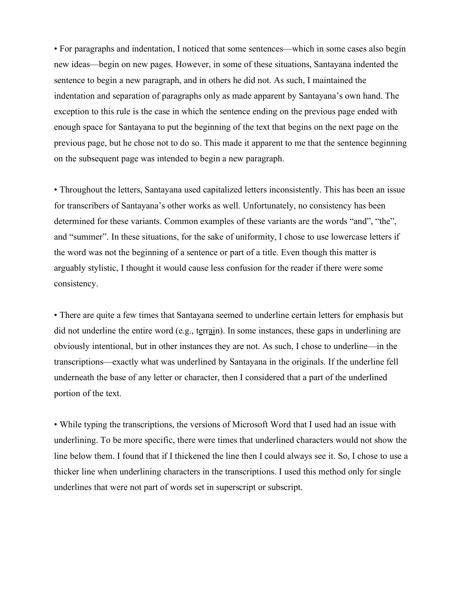• For paragraphs and indentation, I noticed that some sentences—which in some cases also begin new ideas—begin on new pages. However, in some of these situations, Santayana indented the sentence to begin a new paragraph, and in others he did not. As such, I maintained the indentation and separation of paragraphs only as made apparent by Santayana's own hand. The exception to this rule is the case in which the sentence ending on the previous page ended with enough space for Santayana to put the beginning of the text that begins on the next page on the previous page, but he chose not to do so. This made it apparent to me that the sentence beginning on the subsequent page was intended to begin a new paragraph.

• Throughout the letters, Santayana used capitalized letters inconsistently. This has been an issue for transcribers of Santayana's other works as well. Unfortunately, no consistency has been determined for these variants. Common examples of these variants are the words "and", "the", and "summer". In these situations, for the sake of uniformity, I chose to use lowercase letters if the word was not the beginning of a sentence or part of a title. Even though this matter is arguably stylistic, I thought it would cause less confusion for the reader if there were some consistency.

• There are quite a few times that Santayana seemed to underline certain letters for emphasis but did not underline the entire word (e.g., terrain). In some instances, these gaps in underlining are obviously intentional, but in other instances they are not. As such, I chose to underline—in the transcriptions—exactly what was underlined by Santayana in the originals. If the underline fell underneath the base of any letter or character, then I considered that a part of the underlined portion of the text.

• While typing the transcriptions, the versions of Microsoft Word that I used had an issue with underlining. To be more specific, there were times that underlined characters would not show the line below them. I found that if I thickened the line then I could always see it. So, I chose to use a thicker line when underlining characters in the transcriptions. I used this method only for single underlines that were not part of words set in superscript or subscript.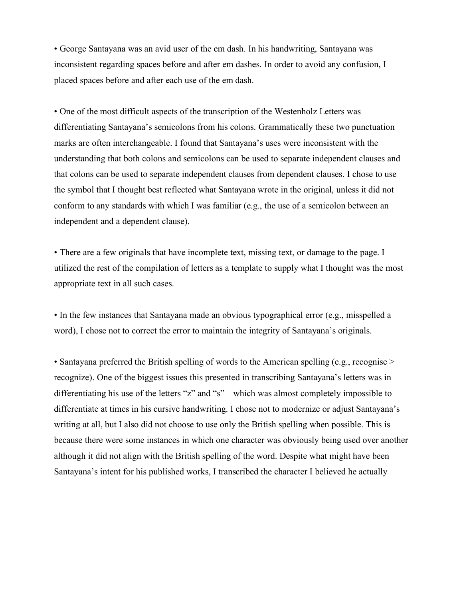• George Santayana was an avid user of the em dash. In his handwriting, Santayana was inconsistent regarding spaces before and after em dashes. In order to avoid any confusion, I placed spaces before and after each use of the em dash.

• One of the most difficult aspects of the transcription of the Westenholz Letters was differentiating Santayana's semicolons from his colons. Grammatically these two punctuation marks are often interchangeable. I found that Santayana's uses were inconsistent with the understanding that both colons and semicolons can be used to separate independent clauses and that colons can be used to separate independent clauses from dependent clauses. I chose to use the symbol that I thought best reflected what Santayana wrote in the original, unless it did not conform to any standards with which I was familiar (e.g., the use of a semicolon between an independent and a dependent clause).

• There are a few originals that have incomplete text, missing text, or damage to the page. I utilized the rest of the compilation of letters as a template to supply what I thought was the most appropriate text in all such cases.

• In the few instances that Santayana made an obvious typographical error (e.g., misspelled a word), I chose not to correct the error to maintain the integrity of Santayana's originals.

• Santayana preferred the British spelling of words to the American spelling (e.g., recognise > recognize). One of the biggest issues this presented in transcribing Santayana's letters was in differentiating his use of the letters "z" and "s"—which was almost completely impossible to differentiate at times in his cursive handwriting. I chose not to modernize or adjust Santayana's writing at all, but I also did not choose to use only the British spelling when possible. This is because there were some instances in which one character was obviously being used over another although it did not align with the British spelling of the word. Despite what might have been Santayana's intent for his published works, I transcribed the character I believed he actually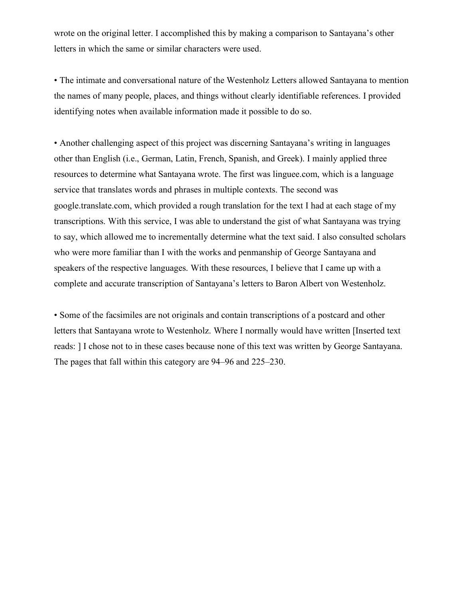wrote on the original letter. I accomplished this by making a comparison to Santayana's other letters in which the same or similar characters were used.

• The intimate and conversational nature of the Westenholz Letters allowed Santayana to mention the names of many people, places, and things without clearly identifiable references. I provided identifying notes when available information made it possible to do so.

• Another challenging aspect of this project was discerning Santayana's writing in languages other than English (i.e., German, Latin, French, Spanish, and Greek). I mainly applied three resources to determine what Santayana wrote. The first was linguee.com, which is a language service that translates words and phrases in multiple contexts. The second was google.translate.com, which provided a rough translation for the text I had at each stage of my transcriptions. With this service, I was able to understand the gist of what Santayana was trying to say, which allowed me to incrementally determine what the text said. I also consulted scholars who were more familiar than I with the works and penmanship of George Santayana and speakers of the respective languages. With these resources, I believe that I came up with a complete and accurate transcription of Santayana's letters to Baron Albert von Westenholz.

• Some of the facsimiles are not originals and contain transcriptions of a postcard and other letters that Santayana wrote to Westenholz. Where I normally would have written [Inserted text reads: ] I chose not to in these cases because none of this text was written by George Santayana. The pages that fall within this category are 94–96 and 225–230.